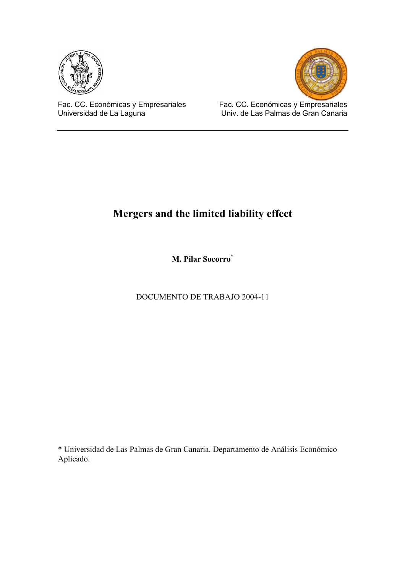



Fac. CC. Económicas y Empresariales Universidad de La Laguna

Fac. CC. Económicas y Empresariales Univ. de Las Palmas de Gran Canaria

# **Mergers and the limited liability effect**

**M. Pilar Socorro\*** 

DOCUMENTO DE TRABAJO 2004-11

\* Universidad de Las Palmas de Gran Canaria. Departamento de Análisis Económico Aplicado.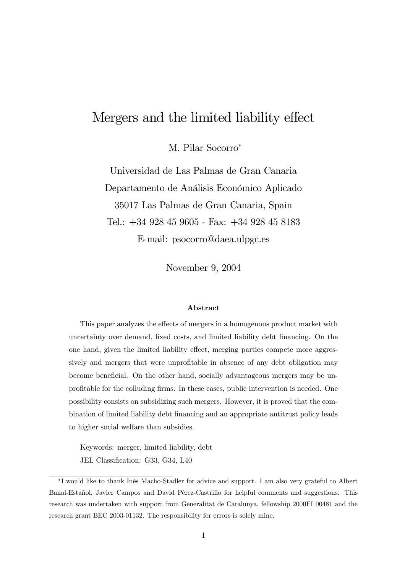## Mergers and the limited liability effect

M. Pilar Socorro<sup>\*</sup>

Universidad de Las Palmas de Gran Canaria Departamento de Análisis Económico Aplicado 35017 Las Palmas de Gran Canaria, Spain Tel.: +34 928 45 9605 - Fax: +34 928 45 8183 E-mail: psocorro@daea.ulpgc.es

November 9, 2004

#### Abstract

This paper analyzes the effects of mergers in a homogenous product market with uncertainty over demand, fixed costs, and limited liability debt financing. On the one hand, given the limited liability effect, merging parties compete more aggressively and mergers that were unprofitable in absence of any debt obligation may become beneficial. On the other hand, socially advantageous mergers may be unprofitable for the colluding firms. In these cases, public intervention is needed. One possibility consists on subsidizing such mergers. However, it is proved that the combination of limited liability debt financing and an appropriate antitrust policy leads to higher social welfare than subsidies.

Keywords: merger, limited liability, debt JEL Classification: G33, G34, L40

<sup>∗</sup>I would like to thank Inés Macho-Stadler for advice and support. I am also very grateful to Albert Banal-Estañol, Javier Campos and David Pérez-Castrillo for helpful comments and suggestions. This research was undertaken with support from Generalitat de Catalunya, fellowship 2000FI 00481 and the research grant BEC 2003-01132. The responsibility for errors is solely mine.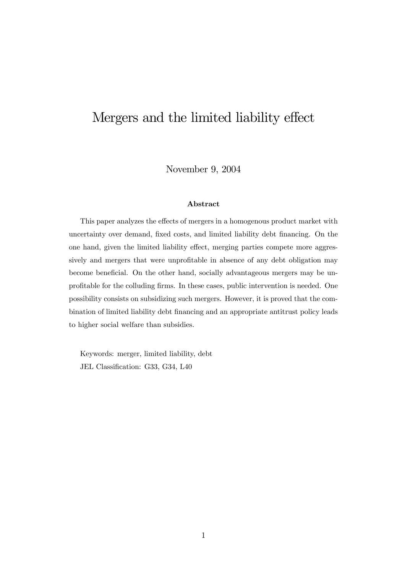# Mergers and the limited liability effect

November 9, 2004

### Abstract

This paper analyzes the effects of mergers in a homogenous product market with uncertainty over demand, fixed costs, and limited liability debt financing. On the one hand, given the limited liability effect, merging parties compete more aggressively and mergers that were unprofitable in absence of any debt obligation may become beneficial. On the other hand, socially advantageous mergers may be unprofitable for the colluding firms. In these cases, public intervention is needed. One possibility consists on subsidizing such mergers. However, it is proved that the combination of limited liability debt financing and an appropriate antitrust policy leads to higher social welfare than subsidies.

Keywords: merger, limited liability, debt JEL Classification: G33, G34, L40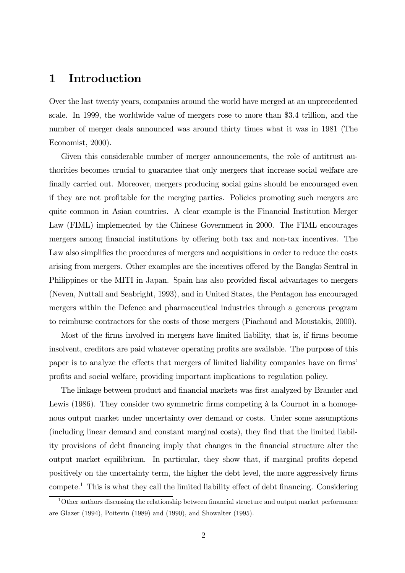### 1 Introduction

Over the last twenty years, companies around the world have merged at an unprecedented scale. In 1999, the worldwide value of mergers rose to more than \$3.4 trillion, and the number of merger deals announced was around thirty times what it was in 1981 (The Economist, 2000).

Given this considerable number of merger announcements, the role of antitrust authorities becomes crucial to guarantee that only mergers that increase social welfare are finally carried out. Moreover, mergers producing social gains should be encouraged even if they are not profitable for the merging parties. Policies promoting such mergers are quite common in Asian countries. A clear example is the Financial Institution Merger Law (FIML) implemented by the Chinese Government in 2000. The FIML encourages mergers among financial institutions by offering both tax and non-tax incentives. The Law also simplifies the procedures of mergers and acquisitions in order to reduce the costs arising from mergers. Other examples are the incentives offered by the Bangko Sentral in Philippines or the MITI in Japan. Spain has also provided fiscal advantages to mergers (Neven, Nuttall and Seabright, 1993), and in United States, the Pentagon has encouraged mergers within the Defence and pharmaceutical industries through a generous program to reimburse contractors for the costs of those mergers (Piachaud and Moustakis, 2000).

Most of the firms involved in mergers have limited liability, that is, if firms become insolvent, creditors are paid whatever operating profits are available. The purpose of this paper is to analyze the effects that mergers of limited liability companies have on firms' profits and social welfare, providing important implications to regulation policy.

The linkage between product and financial markets was first analyzed by Brander and Lewis (1986). They consider two symmetric firms competing à la Cournot in a homogenous output market under uncertainty over demand or costs. Under some assumptions (including linear demand and constant marginal costs), they find that the limited liability provisions of debt financing imply that changes in the financial structure alter the output market equilibrium. In particular, they show that, if marginal profits depend positively on the uncertainty term, the higher the debt level, the more aggressively firms compete.1 This is what they call the limited liability effect of debt financing. Considering

<sup>&</sup>lt;sup>1</sup>Other authors discussing the relationship between financial structure and output market performance are Glazer (1994), Poitevin (1989) and (1990), and Showalter (1995).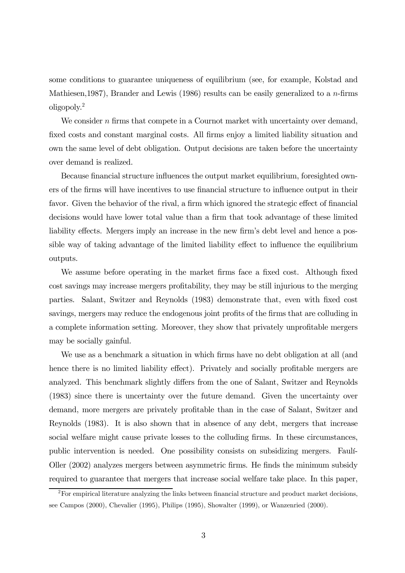some conditions to guarantee uniqueness of equilibrium (see, for example, Kolstad and Mathiesen, 1987), Brander and Lewis (1986) results can be easily generalized to a *n*-firms oligopoly.2

We consider n firms that compete in a Cournot market with uncertainty over demand, fixed costs and constant marginal costs. All firms enjoy a limited liability situation and own the same level of debt obligation. Output decisions are taken before the uncertainty over demand is realized.

Because financial structure influences the output market equilibrium, foresighted owners of the firms will have incentives to use financial structure to influence output in their favor. Given the behavior of the rival, a firm which ignored the strategic effect of financial decisions would have lower total value than a firm that took advantage of these limited liability effects. Mergers imply an increase in the new firm's debt level and hence a possible way of taking advantage of the limited liability effect to influence the equilibrium outputs.

We assume before operating in the market firms face a fixed cost. Although fixed cost savings may increase mergers profitability, they may be still injurious to the merging parties. Salant, Switzer and Reynolds (1983) demonstrate that, even with fixed cost savings, mergers may reduce the endogenous joint profits of the firms that are colluding in a complete information setting. Moreover, they show that privately unprofitable mergers may be socially gainful.

We use as a benchmark a situation in which firms have no debt obligation at all (and hence there is no limited liability effect). Privately and socially profitable mergers are analyzed. This benchmark slightly differs from the one of Salant, Switzer and Reynolds (1983) since there is uncertainty over the future demand. Given the uncertainty over demand, more mergers are privately profitable than in the case of Salant, Switzer and Reynolds (1983). It is also shown that in absence of any debt, mergers that increase social welfare might cause private losses to the colluding firms. In these circumstances, public intervention is needed. One possibility consists on subsidizing mergers. Faulí-Oller (2002) analyzes mergers between asymmetric firms. He finds the minimum subsidy required to guarantee that mergers that increase social welfare take place. In this paper,

 $2F$ For empirical literature analyzing the links between financial structure and product market decisions, see Campos (2000), Chevalier (1995), Philips (1995), Showalter (1999), or Wanzenried (2000).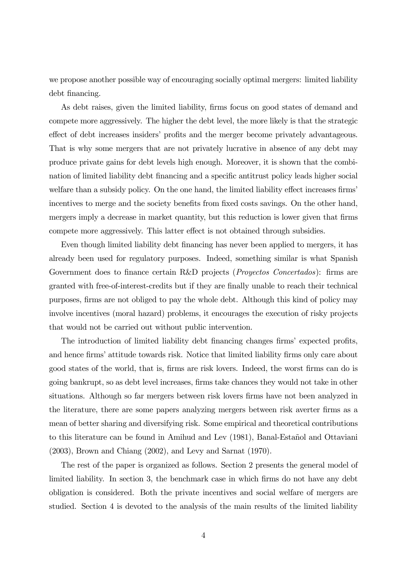we propose another possible way of encouraging socially optimal mergers: limited liability debt financing.

As debt raises, given the limited liability, firms focus on good states of demand and compete more aggressively. The higher the debt level, the more likely is that the strategic effect of debt increases insiders' profits and the merger become privately advantageous. That is why some mergers that are not privately lucrative in absence of any debt may produce private gains for debt levels high enough. Moreover, it is shown that the combination of limited liability debt financing and a specific antitrust policy leads higher social welfare than a subsidy policy. On the one hand, the limited liability effect increases firms' incentives to merge and the society benefits from fixed costs savings. On the other hand, mergers imply a decrease in market quantity, but this reduction is lower given that firms compete more aggressively. This latter effect is not obtained through subsidies.

Even though limited liability debt financing has never been applied to mergers, it has already been used for regulatory purposes. Indeed, something similar is what Spanish Government does to finance certain R&D projects (*Proyectos Concertados*): firms are granted with free-of-interest-credits but if they are finally unable to reach their technical purposes, firms are not obliged to pay the whole debt. Although this kind of policy may involve incentives (moral hazard) problems, it encourages the execution of risky projects that would not be carried out without public intervention.

The introduction of limited liability debt financing changes firms' expected profits, and hence firms' attitude towards risk. Notice that limited liability firms only care about good states of the world, that is, firms are risk lovers. Indeed, the worst firms can do is going bankrupt, so as debt level increases, firms take chances they would not take in other situations. Although so far mergers between risk lovers firms have not been analyzed in the literature, there are some papers analyzing mergers between risk averter firms as a mean of better sharing and diversifying risk. Some empirical and theoretical contributions to this literature can be found in Amihud and Lev (1981), Banal-Estañol and Ottaviani (2003), Brown and Chiang (2002), and Levy and Sarnat (1970).

The rest of the paper is organized as follows. Section 2 presents the general model of limited liability. In section 3, the benchmark case in which firms do not have any debt obligation is considered. Both the private incentives and social welfare of mergers are studied. Section 4 is devoted to the analysis of the main results of the limited liability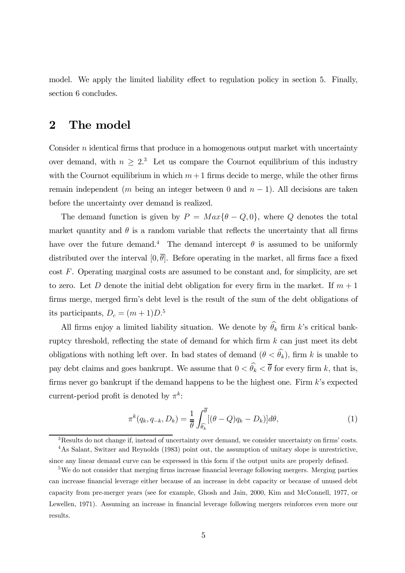model. We apply the limited liability effect to regulation policy in section 5. Finally, section 6 concludes.

### 2 The model

Consider  $n$  identical firms that produce in a homogenous output market with uncertainty over demand, with  $n \geq 2$ <sup>3</sup>. Let us compare the Cournot equilibrium of this industry with the Cournot equilibrium in which  $m + 1$  firms decide to merge, while the other firms remain independent (m being an integer between 0 and  $n - 1$ ). All decisions are taken before the uncertainty over demand is realized.

The demand function is given by  $P = Max{\theta - Q, 0}$ , where Q denotes the total market quantity and  $\theta$  is a random variable that reflects the uncertainty that all firms have over the future demand.<sup>4</sup> The demand intercept  $\theta$  is assumed to be uniformly distributed over the interval  $[0, \overline{\theta}]$ . Before operating in the market, all firms face a fixed cost F. Operating marginal costs are assumed to be constant and, for simplicity, are set to zero. Let D denote the initial debt obligation for every firm in the market. If  $m + 1$ firms merge, merged firm's debt level is the result of the sum of the debt obligations of its participants,  $D_c = (m+1)D^{5}$ 

All firms enjoy a limited liability situation. We denote by  $\theta_k$  firm k's critical bankruptcy threshold, reflecting the state of demand for which firm  $k$  can just meet its debt obligations with nothing left over. In bad states of demand  $(\theta < \theta_k)$ , firm k is unable to pay debt claims and goes bankrupt. We assume that  $0 < \theta_k < \theta$  for every firm k, that is, firms never go bankrupt if the demand happens to be the highest one. Firm  $k$ 's expected current-period profit is denoted by  $\pi^k$ :

$$
\pi^k(q_k, q_{-k}, D_k) = \frac{1}{\overline{\theta}} \int_{\widehat{\theta_k}}^{\overline{\theta}} [(\theta - Q)q_k - D_k)] d\theta,
$$
\n(1)

<sup>&</sup>lt;sup>3</sup>Results do not change if, instead of uncertainty over demand, we consider uncertainty on firms' costs.

<sup>4</sup>As Salant, Switzer and Reynolds (1983) point out, the assumption of unitary slope is unrestrictive, since any linear demand curve can be expressed in this form if the output units are properly defined.

<sup>&</sup>lt;sup>5</sup>We do not consider that merging firms increase financial leverage following mergers. Merging parties can increase financial leverage either because of an increase in debt capacity or because of unused debt capacity from pre-merger years (see for example, Ghosh and Jain, 2000, Kim and McConnell, 1977, or Lewellen, 1971). Assuming an increase in financial leverage following mergers reinforces even more our results.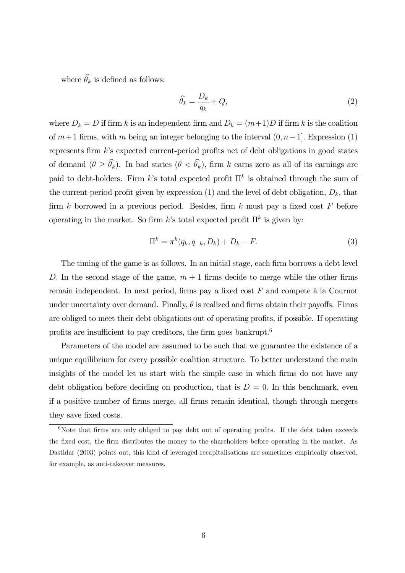where  $\theta_k$  is defined as follows:

$$
\widehat{\theta_k} = \frac{D_k}{q_k} + Q,\tag{2}
$$

where  $D_k = D$  if firm k is an independent firm and  $D_k = (m+1)D$  if firm k is the coalition of  $m+1$  firms, with m being an integer belonging to the interval  $(0, n-1]$ . Expression (1) represents firm k's expected current-period profits net of debt obligations in good states of demand  $(\theta \ge \theta_k)$ . In bad states  $(\theta < \theta_k)$ , firm k earns zero as all of its earnings are paid to debt-holders. Firm k's total expected profit  $\Pi^k$  is obtained through the sum of the current-period profit given by expression (1) and the level of debt obligation,  $D_k$ , that firm  $k$  borrowed in a previous period. Besides, firm  $k$  must pay a fixed cost  $F$  before operating in the market. So firm k's total expected profit  $\Pi^k$  is given by:

$$
\Pi^k = \pi^k(q_k, q_{-k}, D_k) + D_k - F.
$$
 (3)

The timing of the game is as follows. In an initial stage, each firm borrows a debt level D. In the second stage of the game,  $m + 1$  firms decide to merge while the other firms remain independent. In next period, firms pay a fixed cost F and compete à la Cournot under uncertainty over demand. Finally,  $\theta$  is realized and firms obtain their payoffs. Firms are obliged to meet their debt obligations out of operating profits, if possible. If operating profits are insufficient to pay creditors, the firm goes bankrupt.<sup>6</sup>

Parameters of the model are assumed to be such that we guarantee the existence of a unique equilibrium for every possible coalition structure. To better understand the main insights of the model let us start with the simple case in which firms do not have any debt obligation before deciding on production, that is  $D = 0$ . In this benchmark, even if a positive number of firms merge, all firms remain identical, though through mergers they save fixed costs.

 $6$ Note that firms are only obliged to pay debt out of operating profits. If the debt taken exceeds the fixed cost, the firm distributes the money to the shareholders before operating in the market. As Dastidar (2003) points out, this kind of leveraged recapitalisations are sometimes empirically observed, for example, as anti-takeover measures.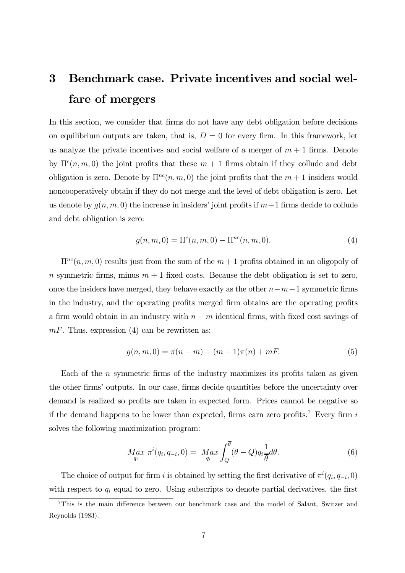# 3 Benchmark case. Private incentives and social welfare of mergers

In this section, we consider that firms do not have any debt obligation before decisions on equilibrium outputs are taken, that is,  $D = 0$  for every firm. In this framework, let us analyze the private incentives and social welfare of a merger of  $m + 1$  firms. Denote by  $\Pi^{c}(n, m, 0)$  the joint profits that these  $m + 1$  firms obtain if they collude and debt obligation is zero. Denote by  $\Pi^{nc}(n, m, 0)$  the joint profits that the  $m + 1$  insiders would noncooperatively obtain if they do not merge and the level of debt obligation is zero. Let us denote by  $g(n, m, 0)$  the increase in insiders' joint profits if  $m+1$  firms decide to collude and debt obligation is zero:

$$
g(n, m, 0) = \Pi^{c}(n, m, 0) - \Pi^{nc}(n, m, 0).
$$
 (4)

 $\Pi^{nc}(n, m, 0)$  results just from the sum of the  $m + 1$  profits obtained in an oligopoly of n symmetric firms, minus  $m + 1$  fixed costs. Because the debt obligation is set to zero, once the insiders have merged, they behave exactly as the other  $n-m-1$  symmetric firms in the industry, and the operating profits merged firm obtains are the operating profits a firm would obtain in an industry with  $n - m$  identical firms, with fixed cost savings of  $mF$ . Thus, expression (4) can be rewritten as:

$$
g(n, m, 0) = \pi(n - m) - (m + 1)\pi(n) + mF.
$$
 (5)

Each of the  $n$  symmetric firms of the industry maximizes its profits taken as given the other firms' outputs. In our case, firms decide quantities before the uncertainty over demand is realized so profits are taken in expected form. Prices cannot be negative so if the demand happens to be lower than expected, firms earn zero profits.<sup>7</sup> Every firm  $i$ solves the following maximization program:

$$
M_{q_i}^{\alpha x} \pi^i(q_i, q_{-i}, 0) = M_{q_i}^{\alpha x} \int_Q^{\overline{\theta}} (\theta - Q) q_i \frac{1}{\overline{\theta}} d\theta.
$$
 (6)

The choice of output for firm i is obtained by setting the first derivative of  $\pi^i(q_i, q_{-i}, 0)$ with respect to  $q_i$  equal to zero. Using subscripts to denote partial derivatives, the first

<sup>7</sup>This is the main difference between our benchmark case and the model of Salant, Switzer and Reynolds (1983).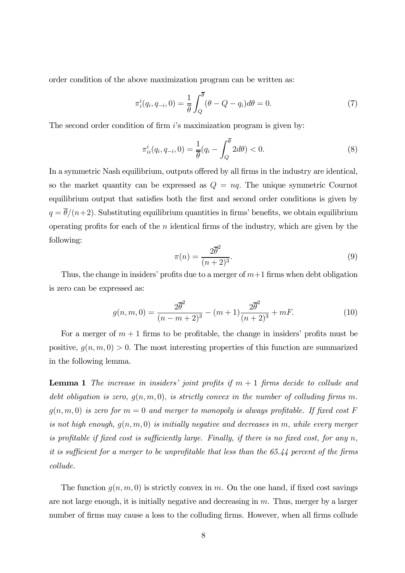order condition of the above maximization program can be written as:

$$
\pi_i^i(q_i, q_{-i}, 0) = \frac{1}{\overline{\theta}} \int_Q^{\overline{\theta}} (\theta - Q - q_i) d\theta = 0.
$$
\n(7)

The second order condition of firm  $i$ 's maximization program is given by:

$$
\pi_{ii}^i(q_i, q_{-i}, 0) = \frac{1}{\overline{\theta}}(q_i - \int_Q^{\overline{\theta}} 2d\theta) < 0. \tag{8}
$$

In a symmetric Nash equilibrium, outputs offered by all firms in the industry are identical, so the market quantity can be expressed as  $Q = nq$ . The unique symmetric Cournot equilibrium output that satisfies both the first and second order conditions is given by  $q = \overline{\theta}/(n+2)$ . Substituting equilibrium quantities in firms' benefits, we obtain equilibrium operating profits for each of the  $n$  identical firms of the industry, which are given by the following:

$$
\pi(n) = \frac{2\overline{\theta}^2}{(n+2)^3}.\tag{9}
$$

Thus, the change in insiders' profits due to a merger of  $m+1$  firms when debt obligation is zero can be expressed as:

$$
g(n, m, 0) = \frac{2\overline{\theta}^2}{(n - m + 2)^3} - (m + 1)\frac{2\overline{\theta}^2}{(n + 2)^3} + mF.
$$
 (10)

For a merger of  $m + 1$  firms to be profitable, the change in insiders' profits must be positive,  $g(n, m, 0) > 0$ . The most interesting properties of this function are summarized in the following lemma.

**Lemma 1** The increase in insiders' joint profits if  $m + 1$  firms decide to collude and debt obligation is zero,  $g(n, m, 0)$ , is strictly convex in the number of colluding firms m.  $g(n, m, 0)$  is zero for  $m = 0$  and merger to monopoly is always profitable. If fixed cost F is not high enough,  $g(n, m, 0)$  is initially negative and decreases in m, while every merger is profitable if fixed cost is sufficiently large. Finally, if there is no fixed cost, for any  $n$ , it is sufficient for a merger to be unprofitable that less than the 65.44 percent of the firms collude.

The function  $g(n, m, 0)$  is strictly convex in m. On the one hand, if fixed cost savings are not large enough, it is initially negative and decreasing in m. Thus, merger by a larger number of firms may cause a loss to the colluding firms. However, when all firms collude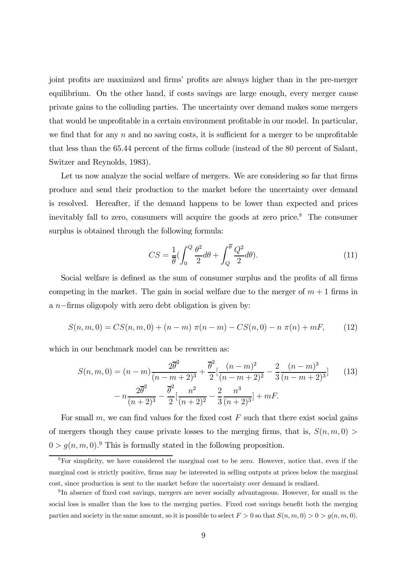joint profits are maximized and firms' profits are always higher than in the pre-merger equilibrium. On the other hand, if costs savings are large enough, every merger cause private gains to the colluding parties. The uncertainty over demand makes some mergers that would be unprofitable in a certain environment profitable in our model. In particular, we find that for any  $n$  and no saving costs, it is sufficient for a merger to be unprofitable that less than the 65.44 percent of the firms collude (instead of the 80 percent of Salant, Switzer and Reynolds, 1983).

Let us now analyze the social welfare of mergers. We are considering so far that firms produce and send their production to the market before the uncertainty over demand is resolved. Hereafter, if the demand happens to be lower than expected and prices inevitably fall to zero, consumers will acquire the goods at zero price.<sup>8</sup> The consumer surplus is obtained through the following formula:

$$
CS = \frac{1}{\theta} \left( \int_0^Q \frac{\theta^2}{2} d\theta + \int_Q^{\overline{\theta}} \frac{Q^2}{2} d\theta \right). \tag{11}
$$

Social welfare is defined as the sum of consumer surplus and the profits of all firms competing in the market. The gain in social welfare due to the merger of  $m + 1$  firms in a n−firms oligopoly with zero debt obligation is given by:

$$
S(n, m, 0) = CS(n, m, 0) + (n - m) \pi(n - m) - CS(n, 0) - n \pi(n) + mF,
$$
 (12)

which in our benchmark model can be rewritten as:

$$
S(n, m, 0) = (n - m)\frac{2\overline{\theta}^2}{(n - m + 2)^3} + \frac{\overline{\theta}^2}{2} \left[ \frac{(n - m)^2}{(n - m + 2)^2} - \frac{2}{3} \frac{(n - m)^3}{(n - m + 2)^3} \right]
$$
(13)  

$$
- n\frac{2\overline{\theta}^2}{(n + 2)^3} - \frac{\overline{\theta}^2}{2} \left[ \frac{n^2}{(n + 2)^2} - \frac{2}{3} \frac{n^3}{(n + 2)^3} \right] + mF.
$$

For small  $m$ , we can find values for the fixed cost  $F$  such that there exist social gains of mergers though they cause private losses to the merging firms, that is,  $S(n, m, 0)$  $0 > g(n, m, 0)$ . This is formally stated in the following proposition.

 $8$ For simplicity, we have considered the marginal cost to be zero. However, notice that, even if the marginal cost is strictly positive, firms may be interested in selling outputs at prices below the marginal cost, since production is sent to the market before the uncertainty over demand is realized.

 $9$ In absence of fixed cost savings, mergers are never socially advantageous. However, for small m the social loss is smaller than the loss to the merging parties. Fixed cost savings benefit both the merging parties and society in the same amount, so it is possible to select  $F > 0$  so that  $S(n, m, 0) > 0 > g(n, m, 0)$ .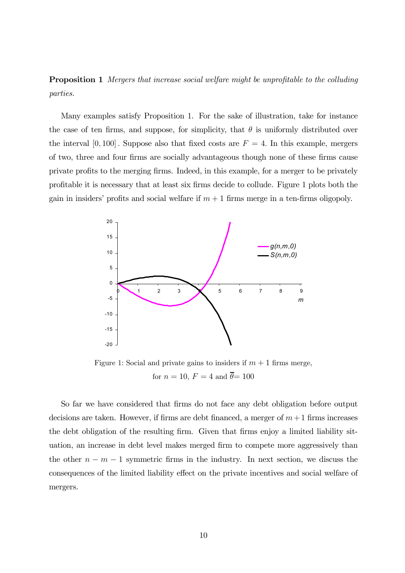Proposition 1 Mergers that increase social welfare might be unprofitable to the colluding parties.

Many examples satisfy Proposition 1. For the sake of illustration, take for instance the case of ten firms, and suppose, for simplicity, that  $\theta$  is uniformly distributed over the interval  $[0, 100]$ . Suppose also that fixed costs are  $F = 4$ . In this example, mergers of two, three and four firms are socially advantageous though none of these firms cause private profits to the merging firms. Indeed, in this example, for a merger to be privately profitable it is necessary that at least six firms decide to collude. Figure 1 plots both the gain in insiders' profits and social welfare if  $m + 1$  firms merge in a ten-firms oligopoly.



Figure 1: Social and private gains to insiders if  $m + 1$  firms merge, for  $n = 10$ ,  $F = 4$  and  $\overline{\theta} = 100$ 

So far we have considered that firms do not face any debt obligation before output decisions are taken. However, if firms are debt financed, a merger of  $m+1$  firms increases the debt obligation of the resulting firm. Given that firms enjoy a limited liability situation, an increase in debt level makes merged firm to compete more aggressively than the other  $n - m - 1$  symmetric firms in the industry. In next section, we discuss the consequences of the limited liability effect on the private incentives and social welfare of mergers.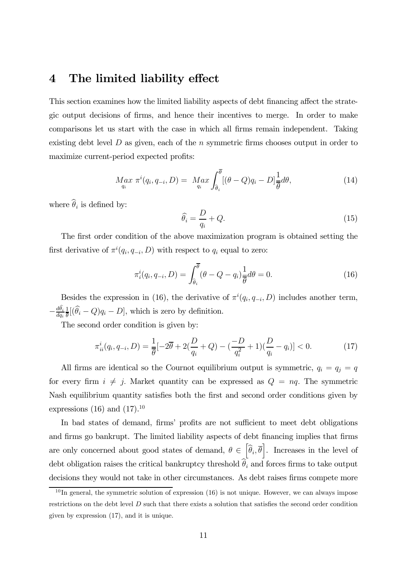### 4 The limited liability effect

This section examines how the limited liability aspects of debt financing affect the strategic output decisions of firms, and hence their incentives to merge. In order to make comparisons let us start with the case in which all firms remain independent. Taking existing debt level  $D$  as given, each of the  $n$  symmetric firms chooses output in order to maximize current-period expected profits:

$$
M_{q_i}^{\alpha x} \pi^i(q_i, q_{-i}, D) = M_{q_i}^{\alpha x} \int_{\widehat{\theta}_i}^{\overline{\theta}} [(\theta - Q)q_i - D] \frac{1}{\overline{\theta}} d\theta, \qquad (14)
$$

where  $\widehat{\theta}_i$  is defined by:

$$
\widehat{\theta_i} = \frac{D}{q_i} + Q. \tag{15}
$$

The first order condition of the above maximization program is obtained setting the first derivative of  $\pi^i(q_i, q_{-i}, D)$  with respect to  $q_i$  equal to zero:

$$
\pi_i^i(q_i, q_{-i}, D) = \int_{\hat{\theta}_i}^{\overline{\theta}} (\theta - Q - q_i) \frac{1}{\overline{\theta}} d\theta = 0.
$$
 (16)

Besides the expression in (16), the derivative of  $\pi^{i}(q_i, q_{-i}, D)$  includes another term,  $-\frac{d\theta_i}{dq_i}$  $\frac{1}{\theta}[(\hat{\theta}_i - Q)q_i - D]$ , which is zero by definition.

The second order condition is given by:

$$
\pi_{ii}^i(q_i, q_{-i}, D) = \frac{1}{\overline{\theta}} [-2\overline{\theta} + 2(\frac{D}{q_i} + Q) - (\frac{-D}{q_i^2} + 1)(\frac{D}{q_i} - q_i)] < 0.
$$
 (17)

All firms are identical so the Cournot equilibrium output is symmetric,  $q_i = q_j = q$ for every firm  $i \neq j$ . Market quantity can be expressed as  $Q = nq$ . The symmetric Nash equilibrium quantity satisfies both the first and second order conditions given by expressions (16) and  $(17).^{10}$ 

In bad states of demand, firms' profits are not sufficient to meet debt obligations and firms go bankrupt. The limited liability aspects of debt financing implies that firms are only concerned about good states of demand,  $\theta \in \left[\hat{\theta}_i, \overline{\theta}\right]$ . Increases in the level of debt obligation raises the critical bankruptcy threshold  $\theta_i$  and forces firms to take output decisions they would not take in other circumstances. As debt raises firms compete more

 $10$  In general, the symmetric solution of expression (16) is not unique. However, we can always impose restrictions on the debt level D such that there exists a solution that satisfies the second order condition given by expression (17), and it is unique.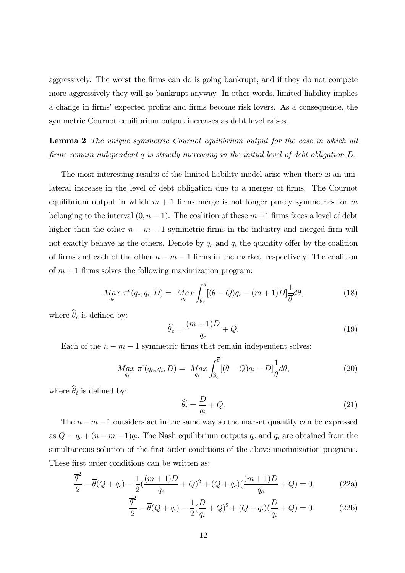aggressively. The worst the firms can do is going bankrupt, and if they do not compete more aggressively they will go bankrupt anyway. In other words, limited liability implies a change in firms' expected profits and firms become risk lovers. As a consequence, the symmetric Cournot equilibrium output increases as debt level raises.

Lemma 2 The unique symmetric Cournot equilibrium output for the case in which all firms remain independent q is strictly increasing in the initial level of debt obligation D.

The most interesting results of the limited liability model arise when there is an unilateral increase in the level of debt obligation due to a merger of firms. The Cournot equilibrium output in which  $m + 1$  firms merge is not longer purely symmetric- for m belonging to the interval  $(0, n - 1)$ . The coalition of these  $m+1$  firms faces a level of debt higher than the other  $n - m - 1$  symmetric firms in the industry and merged firm will not exactly behave as the others. Denote by  $q_c$  and  $q_i$  the quantity offer by the coalition of firms and each of the other  $n - m - 1$  firms in the market, respectively. The coalition of  $m + 1$  firms solves the following maximization program:

$$
M_{q_c} \pi^c(q_c, q_i, D) = M_{q_c} \int_{\hat{\theta}_c}^{\overline{\theta}} [(\theta - Q)q_c - (m+1)D] \frac{1}{\overline{\theta}} d\theta, \qquad (18)
$$

where  $\widehat{\theta}_c$  is defined by:

$$
\widehat{\theta_c} = \frac{(m+1)D}{q_c} + Q. \tag{19}
$$

Each of the  $n - m - 1$  symmetric firms that remain independent solves:

$$
M_{q_i}^{\alpha x} \pi^i(q_c, q_i, D) = M_{q_i}^{\alpha x} \int_{\hat{\theta}_i}^{\overline{\theta}} [(\theta - Q)q_i - D] \frac{1}{\overline{\theta}} d\theta, \qquad (20)
$$

where  $\widehat{\theta}_i$  is defined by:

$$
\widehat{\theta_i} = \frac{D}{q_i} + Q. \tag{21}
$$

The  $n - m - 1$  outsiders act in the same way so the market quantity can be expressed as  $Q = q_c + (n - m - 1)q_i$ . The Nash equilibrium outputs  $q_c$  and  $q_i$  are obtained from the simultaneous solution of the first order conditions of the above maximization programs. These first order conditions can be written as:

$$
\frac{\overline{\theta}^2}{2} - \overline{\theta}(Q + q_c) - \frac{1}{2}(\frac{(m+1)D}{q_c} + Q)^2 + (Q + q_c)(\frac{(m+1)D}{q_c} + Q) = 0.
$$
 (22a)

$$
\frac{\overline{\theta}^2}{2} - \overline{\theta}(Q + q_i) - \frac{1}{2}(\frac{D}{q_i} + Q)^2 + (Q + q_i)(\frac{D}{q_i} + Q) = 0.
$$
 (22b)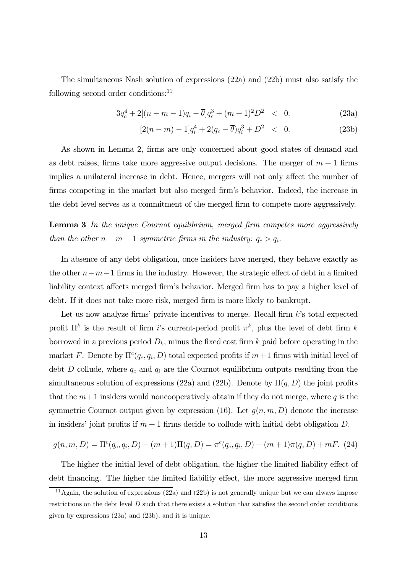The simultaneous Nash solution of expressions (22a) and (22b) must also satisfy the following second order conditions:<sup>11</sup>

$$
3q_c^4 + 2[(n-m-1)q_i - \overline{\theta}]q_c^3 + (m+1)^2 D^2 \quad < \quad 0. \tag{23a}
$$

$$
[2(n-m)-1]q_i^4 + 2(q_c - \overline{\theta})q_i^3 + D^2 < 0. \tag{23b}
$$

As shown in Lemma 2, firms are only concerned about good states of demand and as debt raises, firms take more aggressive output decisions. The merger of  $m + 1$  firms implies a unilateral increase in debt. Hence, mergers will not only affect the number of firms competing in the market but also merged firm's behavior. Indeed, the increase in the debt level serves as a commitment of the merged firm to compete more aggressively.

**Lemma 3** In the unique Cournot equilibrium, merged firm competes more aggressively than the other  $n - m - 1$  symmetric firms in the industry:  $q_c > q_i$ .

In absence of any debt obligation, once insiders have merged, they behave exactly as the other  $n-m-1$  firms in the industry. However, the strategic effect of debt in a limited liability context affects merged firm's behavior. Merged firm has to pay a higher level of debt. If it does not take more risk, merged firm is more likely to bankrupt.

Let us now analyze firms' private incentives to merge. Recall firm  $k$ 's total expected profit  $\Pi^k$  is the result of firm i's current-period profit  $\pi^k$ , plus the level of debt firm k borrowed in a previous period  $D_k$ , minus the fixed cost firm k paid before operating in the market F. Denote by  $\Pi^c(q_c, q_i, D)$  total expected profits if  $m+1$  firms with initial level of debt D collude, where  $q_c$  and  $q_i$  are the Cournot equilibrium outputs resulting from the simultaneous solution of expressions (22a) and (22b). Denote by  $\Pi(q, D)$  the joint profits that the  $m+1$  insiders would noncooperatively obtain if they do not merge, where q is the symmetric Cournot output given by expression (16). Let  $g(n, m, D)$  denote the increase in insiders' joint profits if  $m + 1$  firms decide to collude with initial debt obligation D.

$$
g(n, m, D) = \Pi^{c}(q_c, q_i, D) - (m + 1)\Pi(q, D) = \pi^{c}(q_c, q_i, D) - (m + 1)\pi(q, D) + mF.
$$
 (24)

The higher the initial level of debt obligation, the higher the limited liability effect of debt financing. The higher the limited liability effect, the more aggressive merged firm

<sup>&</sup>lt;sup>11</sup>Again, the solution of expressions  $(22a)$  and  $(22b)$  is not generally unique but we can always impose restrictions on the debt level D such that there exists a solution that satisfies the second order conditions given by expressions (23a) and (23b), and it is unique.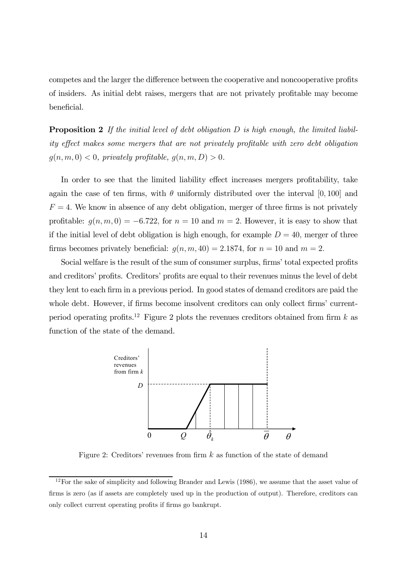competes and the larger the difference between the cooperative and noncooperative profits of insiders. As initial debt raises, mergers that are not privately profitable may become beneficial.

**Proposition 2** If the initial level of debt obligation  $D$  is high enough, the limited liability effect makes some mergers that are not privately profitable with zero debt obligation  $g(n, m, 0) < 0$ , privately profitable,  $g(n, m, D) > 0$ .

In order to see that the limited liability effect increases mergers profitability, take again the case of ten firms, with  $\theta$  uniformly distributed over the interval [0, 100] and  $F = 4$ . We know in absence of any debt obligation, merger of three firms is not privately profitable:  $g(n, m, 0) = -6.722$ , for  $n = 10$  and  $m = 2$ . However, it is easy to show that if the initial level of debt obligation is high enough, for example  $D = 40$ , merger of three firms becomes privately beneficial:  $g(n, m, 40) = 2.1874$ , for  $n = 10$  and  $m = 2$ .

Social welfare is the result of the sum of consumer surplus, firms' total expected profits and creditors' profits. Creditors' profits are equal to their revenues minus the level of debt they lent to each firm in a previous period. In good states of demand creditors are paid the whole debt. However, if firms become insolvent creditors can only collect firms' currentperiod operating profits.<sup>12</sup> Figure 2 plots the revenues creditors obtained from firm k as function of the state of the demand.



Figure 2: Creditors' revenues from firm  $k$  as function of the state of demand

<sup>&</sup>lt;sup>12</sup>For the sake of simplicity and following Brander and Lewis (1986), we assume that the asset value of firms is zero (as if assets are completely used up in the production of output). Therefore, creditors can only collect current operating profits if firms go bankrupt.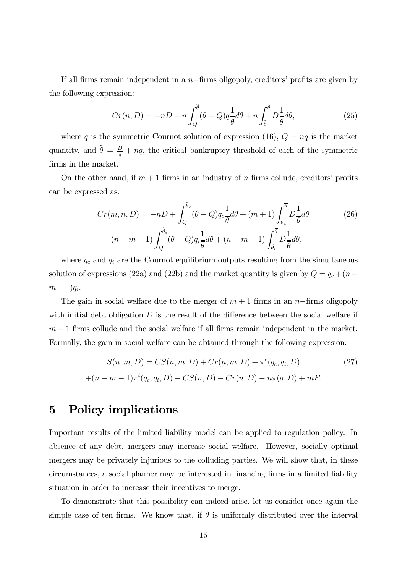If all firms remain independent in a  $n$ –firms oligopoly, creditors' profits are given by the following expression:

$$
Cr(n, D) = -nD + n \int_{Q}^{\widehat{\theta}} (\theta - Q) q \frac{1}{\overline{\theta}} d\theta + n \int_{\widehat{\theta}}^{\overline{\theta}} D \frac{1}{\overline{\theta}} d\theta, \qquad (25)
$$

where q is the symmetric Cournot solution of expression (16),  $Q = nq$  is the market quantity, and  $\hat{\theta} = \frac{D}{q} + nq$ , the critical bankruptcy threshold of each of the symmetric firms in the market.

On the other hand, if  $m + 1$  firms in an industry of n firms collude, creditors' profits can be expressed as:

$$
Cr(m, n, D) = -nD + \int_{Q}^{\hat{\theta}_{c}} (\theta - Q) q_{c} \frac{1}{\overline{\theta}} d\theta + (m + 1) \int_{\hat{\theta}_{c}}^{\overline{\theta}} D \frac{1}{\overline{\theta}} d\theta
$$
(26)  
+(n - m - 1) 
$$
\int_{Q}^{\hat{\theta}_{i}} (\theta - Q) q_{i} \frac{1}{\overline{\theta}} d\theta + (n - m - 1) \int_{\hat{\theta}_{i}}^{\overline{\theta}} D \frac{1}{\overline{\theta}} d\theta,
$$

where  $q_c$  and  $q_i$  are the Cournot equilibrium outputs resulting from the simultaneous solution of expressions (22a) and (22b) and the market quantity is given by  $Q = q_c + (n (m-1)q_i$ .

The gain in social welfare due to the merger of  $m + 1$  firms in an n−firms oligopoly with initial debt obligation  $D$  is the result of the difference between the social welfare if  $m + 1$  firms collude and the social welfare if all firms remain independent in the market. Formally, the gain in social welfare can be obtained through the following expression:

$$
S(n, m, D) = CS(n, m, D) + Cr(n, m, D) + \pi^{c}(q_{c}, q_{i}, D)
$$
\n
$$
+(n - m - 1)\pi^{i}(q_{c}, q_{i}, D) - CS(n, D) - Cr(n, D) - n\pi(q, D) + mF.
$$
\n(27)

### 5 Policy implications

Important results of the limited liability model can be applied to regulation policy. In absence of any debt, mergers may increase social welfare. However, socially optimal mergers may be privately injurious to the colluding parties. We will show that, in these circumstances, a social planner may be interested in financing firms in a limited liability situation in order to increase their incentives to merge.

To demonstrate that this possibility can indeed arise, let us consider once again the simple case of ten firms. We know that, if  $\theta$  is uniformly distributed over the interval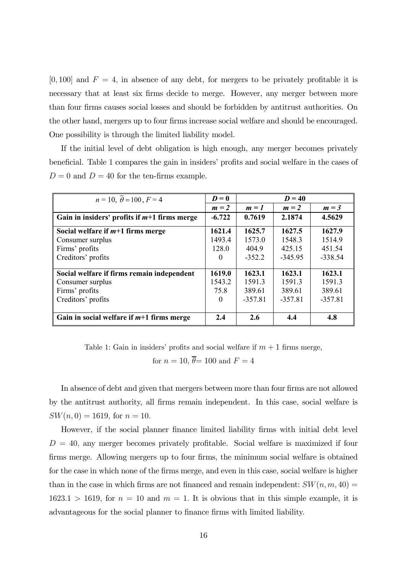$[0, 100]$  and  $F = 4$ , in absence of any debt, for mergers to be privately profitable it is necessary that at least six firms decide to merge. However, any merger between more than four firms causes social losses and should be forbidden by antitrust authorities. On the other hand, mergers up to four firms increase social welfare and should be encouraged. One possibility is through the limited liability model.

If the initial level of debt obligation is high enough, any merger becomes privately beneficial. Table 1 compares the gain in insiders' profits and social welfare in the cases of  $D = 0$  and  $D = 40$  for the ten-firms example.

| $n = 10, \theta = 100, F = 4$                  | $D=0$    | $D=40$    |           |           |
|------------------------------------------------|----------|-----------|-----------|-----------|
|                                                | $m = 2$  | $m = 1$   | $m = 2$   | $m = 3$   |
| Gain in insiders' profits if $m+1$ firms merge | $-6.722$ | 0.7619    | 2.1874    | 4.5629    |
| Social welfare if $m+1$ firms merge            | 1621.4   | 1625.7    | 1627.5    | 1627.9    |
| Consumer surplus                               | 1493.4   | 1573.0    | 1548.3    | 1514.9    |
| Firms' profits                                 | 128.0    | 404.9     | 425 15    | 451.54    |
| Creditors' profits                             |          | $-352.2$  | $-345.95$ | $-338.54$ |
|                                                |          |           |           |           |
| Social welfare if firms remain independent     | 1619.0   | 1623.1    | 1623.1    | 1623.1    |
| Consumer surplus                               | 1543.2   | 1591.3    | 1591.3    | 1591.3    |
| Firms' profits                                 | 75.8     | 389.61    | 389.61    | 389.61    |
| Creditors' profits                             | 0        | $-357.81$ | $-357.81$ | $-357.81$ |
|                                                |          |           |           |           |
| Gain in social welfare if $m+1$ firms merge    | 2.4      | 2.6       | 4.4       | 4.8       |

Table 1: Gain in insiders' profits and social welfare if  $m + 1$  firms merge,

for  $n = 10$ ,  $\overline{\theta} = 100$  and  $F = 4$ 

In absence of debt and given that mergers between more than four firms are not allowed by the antitrust authority, all firms remain independent. In this case, social welfare is  $SW(n, 0) = 1619$ , for  $n = 10$ .

However, if the social planner finance limited liability firms with initial debt level  $D = 40$ , any merger becomes privately profitable. Social welfare is maximized if four firms merge. Allowing mergers up to four firms, the minimum social welfare is obtained for the case in which none of the firms merge, and even in this case, social welfare is higher than in the case in which firms are not financed and remain independent:  $SW(n, m, 40) =$  $1623.1 > 1619$ , for  $n = 10$  and  $m = 1$ . It is obvious that in this simple example, it is advantageous for the social planner to finance firms with limited liability.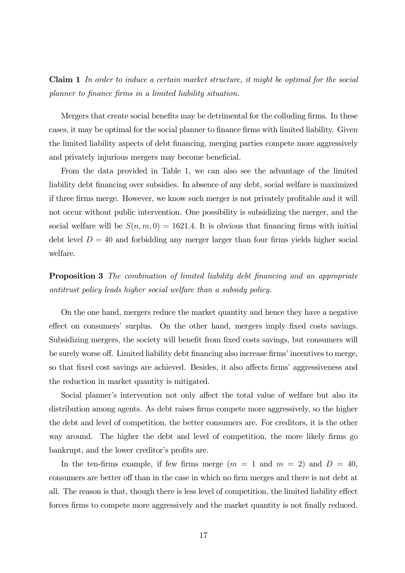Claim 1 In order to induce a certain market structure, it might be optimal for the social planner to finance firms in a limited liability situation.

Mergers that create social benefits may be detrimental for the colluding firms. In these cases, it may be optimal for the social planner to finance firms with limited liability. Given the limited liability aspects of debt financing, merging parties compete more aggressively and privately injurious mergers may become beneficial.

From the data provided in Table 1, we can also see the advantage of the limited liability debt financing over subsidies. In absence of any debt, social welfare is maximized if three firms merge. However, we know such merger is not privately profitable and it will not occur without public intervention. One possibility is subsidizing the merger, and the social welfare will be  $S(n, m, 0) = 1621.4$ . It is obvious that financing firms with initial debt level  $D = 40$  and forbidding any merger larger than four firms yields higher social welfare.

Proposition 3 The combination of limited liability debt financing and an appropriate antitrust policy leads higher social welfare than a subsidy policy.

On the one hand, mergers reduce the market quantity and hence they have a negative effect on consumers' surplus. On the other hand, mergers imply fixed costs savings. Subsidizing mergers, the society will benefit from fixed costs savings, but consumers will be surely worse off. Limited liability debt financing also increase firms' incentives to merge, so that fixed cost savings are achieved. Besides, it also affects firms' aggressiveness and the reduction in market quantity is mitigated.

Social planner's intervention not only affect the total value of welfare but also its distribution among agents. As debt raises firms compete more aggressively, so the higher the debt and level of competition, the better consumers are. For creditors, it is the other way around. The higher the debt and level of competition, the more likely firms go bankrupt, and the lower creditor's profits are.

In the ten-firms example, if few firms merge  $(m = 1 \text{ and } m = 2)$  and  $D = 40$ , consumers are better off than in the case in which no firm merges and there is not debt at all. The reason is that, though there is less level of competition, the limited liability effect forces firms to compete more aggressively and the market quantity is not finally reduced.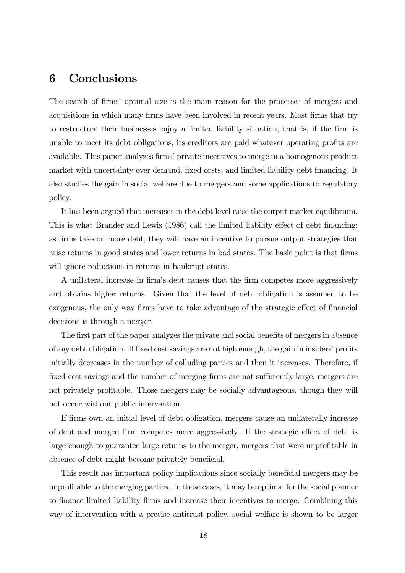## 6 Conclusions

The search of firms' optimal size is the main reason for the processes of mergers and acquisitions in which many firms have been involved in recent years. Most firms that try to restructure their businesses enjoy a limited liability situation, that is, if the firm is unable to meet its debt obligations, its creditors are paid whatever operating profits are available. This paper analyzes firms' private incentives to merge in a homogenous product market with uncertainty over demand, fixed costs, and limited liability debt financing. It also studies the gain in social welfare due to mergers and some applications to regulatory policy.

It has been argued that increases in the debt level raise the output market equilibrium. This is what Brander and Lewis (1986) call the limited liability effect of debt financing: as firms take on more debt, they will have an incentive to pursue output strategies that raise returns in good states and lower returns in bad states. The basic point is that firms will ignore reductions in returns in bankrupt states.

A unilateral increase in firm's debt causes that the firm competes more aggressively and obtains higher returns. Given that the level of debt obligation is assumed to be exogenous, the only way firms have to take advantage of the strategic effect of financial decisions is through a merger.

The first part of the paper analyzes the private and social benefits of mergers in absence of any debt obligation. If fixed cost savings are not high enough, the gain in insiders' profits initially decreases in the number of colluding parties and then it increases. Therefore, if fixed cost savings and the number of merging firms are not sufficiently large, mergers are not privately profitable. Those mergers may be socially advantageous, though they will not occur without public intervention.

If firms own an initial level of debt obligation, mergers cause an unilaterally increase of debt and merged firm competes more aggressively. If the strategic effect of debt is large enough to guarantee large returns to the merger, mergers that were unprofitable in absence of debt might become privately beneficial.

This result has important policy implications since socially beneficial mergers may be unprofitable to the merging parties. In these cases, it may be optimal for the social planner to finance limited liability firms and increase their incentives to merge. Combining this way of intervention with a precise antitrust policy, social welfare is shown to be larger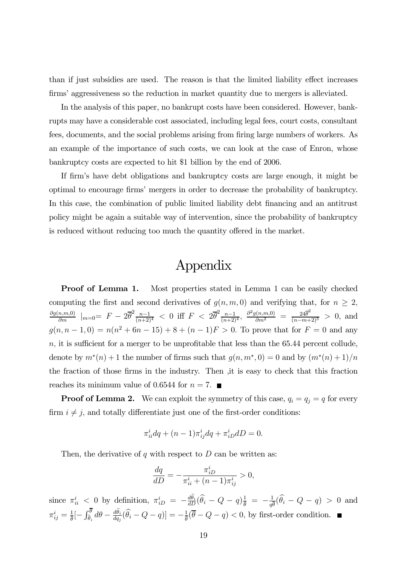than if just subsidies are used. The reason is that the limited liability effect increases firms' aggressiveness so the reduction in market quantity due to mergers is alleviated.

In the analysis of this paper, no bankrupt costs have been considered. However, bankrupts may have a considerable cost associated, including legal fees, court costs, consultant fees, documents, and the social problems arising from firing large numbers of workers. As an example of the importance of such costs, we can look at the case of Enron, whose bankruptcy costs are expected to hit \$1 billion by the end of 2006.

If firm's have debt obligations and bankruptcy costs are large enough, it might be optimal to encourage firms' mergers in order to decrease the probability of bankruptcy. In this case, the combination of public limited liability debt financing and an antitrust policy might be again a suitable way of intervention, since the probability of bankruptcy is reduced without reducing too much the quantity offered in the market.

# Appendix

**Proof of Lemma 1.** Most properties stated in Lemma 1 can be easily checked computing the first and second derivatives of  $g(n, m, 0)$  and verifying that, for  $n \geq 2$ ,  $\frac{\partial g(n,m,0)}{\partial m}$  |m=0=  $F - 2\overline{\theta}^2 \frac{n-1}{(n+2)^4}$  < 0 iff  $F < 2\overline{\theta}^2 \frac{n-1}{(n+2)^4}$ ,  $\frac{\partial^2 g(n,m,0)}{\partial m^2} = \frac{24\overline{\theta}^2}{(n-m+2)^5} > 0$ , and  $g(n, n-1, 0) = n(n^2 + 6n - 15) + 8 + (n-1)F > 0$ . To prove that for  $F = 0$  and any  $n$ , it is sufficient for a merger to be unprofitable that less than the 65.44 percent collude, denote by  $m^*(n)+1$  the number of firms such that  $g(n, m^*, 0) = 0$  and by  $(m^*(n)+1)/n$ the fraction of those firms in the industry. Then ,it is easy to check that this fraction reaches its minimum value of 0.6544 for  $n = 7$ .

**Proof of Lemma 2.** We can exploit the symmetry of this case,  $q_i = q_j = q$  for every firm  $i \neq j$ , and totally differentiate just one of the first-order conditions:

$$
\pi_{ii}^i dq + (n-1)\pi_{ij}^i dq + \pi_{iD}^i dD = 0.
$$

Then, the derivative of  $q$  with respect to  $D$  can be written as:

$$
\frac{dq}{dD} = -\frac{\pi_{iD}^i}{\pi_{ii}^i + (n-1)\pi_{ij}^i} > 0,
$$

since  $\pi_{ii}^i$  < 0 by definition,  $\pi_{iD}^i = -\frac{d\theta_i}{dD}(\widehat{\theta}_i - Q - q)\frac{1}{\overline{\theta}} = -\frac{1}{q\overline{\theta}}(\widehat{\theta}_i - Q - q) > 0$  and  $\pi_{ij}^i = \frac{1}{\theta} \left[-\int_{\hat{\theta}_i}^{\theta} d\theta - \frac{d\hat{\theta}_i}{dq_j} (\hat{\theta}_i - Q - q) \right] = -\frac{1}{\theta} (\overline{\theta} - Q - q) < 0$ , by first-order condition.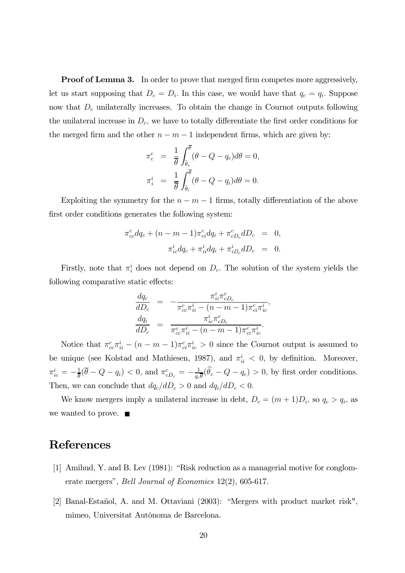**Proof of Lemma 3.** In order to prove that merged firm competes more aggressively, let us start supposing that  $D_c = D_i$ . In this case, we would have that  $q_c = q_i$ . Suppose now that  $D<sub>c</sub>$  unilaterally increases. To obtain the change in Cournot outputs following the unilateral increase in  $D<sub>c</sub>$ , we have to totally differentiate the first order conditions for the merged firm and the other  $n - m - 1$  independent firms, which are given by:

$$
\pi_c^c = \frac{1}{\overline{\theta}} \int_{\widehat{\theta}_c}^{\overline{\theta}} (\theta - Q - q_c) d\theta = 0,
$$
  

$$
\pi_i^i = \frac{1}{\overline{\theta}} \int_{\widehat{\theta}_i}^{\overline{\theta}} (\theta - Q - q_i) d\theta = 0.
$$

Exploiting the symmetry for the  $n - m - 1$  firms, totally differentiation of the above first order conditions generates the following system:

$$
\pi_{cc}^c dq_c + (n - m - 1)\pi_{ci}^c dq_i + \pi_{cD_c}^c dD_c = 0,
$$
  

$$
\pi_{ic}^i dq_c + \pi_{ii}^i dq_i + \pi_{iD_c}^i dD_c = 0.
$$

Firstly, note that  $\pi_i^i$  does not depend on  $D_c$ . The solution of the system yields the following comparative static effects:

$$
\frac{dq_c}{dD_c} = -\frac{\pi_{ii}^i \pi_{cD_c}^c}{\pi_{cc}^c \pi_{ii}^i - (n - m - 1)\pi_{ci}^c \pi_{ic}^i},
$$
\n
$$
\frac{dq_i}{dD_c} = \frac{\pi_{ic}^i \pi_{cD_c}^c}{\pi_{cc}^c \pi_{ii}^i - (n - m - 1)\pi_{ci}^c \pi_{ic}^i}.
$$

Notice that  $\pi_{cc}^c \pi_{ii}^i - (n - m - 1)\pi_{ci}^c \pi_{ic}^i > 0$  since the Cournot output is assumed to be unique (see Kolstad and Mathiesen, 1987), and  $\pi_{ii}^i < 0$ , by definition. Moreover,  $\pi_{ic}^{i} = -\frac{1}{\theta}(\overline{\theta} - Q - q_{i}) < 0$ , and  $\pi_{cD_{c}}^{c} = -\frac{1}{q_{c}\overline{\theta}}(\hat{\theta}_{c} - Q - q_{c}) > 0$ , by first order conditions. Then, we can conclude that  $dq_c/dD_c > 0$  and  $dq_i/dD_c < 0$ .

We know mergers imply a unilateral increase in debt,  $D_c = (m+1)D_i$ , so  $q_c > q_i$ , as we wanted to prove.  $\blacksquare$ 

## References

- [1] Amihud, Y. and B. Lev (1981): "Risk reduction as a managerial motive for conglomerate mergers", Bell Journal of Economics 12(2), 605-617.
- [2] Banal-Estañol, A. and M. Ottaviani (2003): "Mergers with product market risk", mimeo, Universitat Autònoma de Barcelona.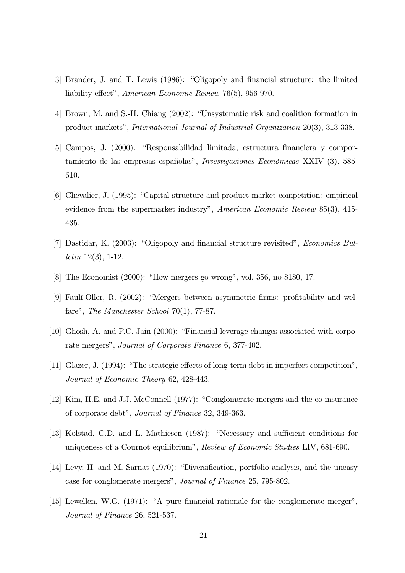- [3] Brander, J. and T. Lewis (1986): "Oligopoly and financial structure: the limited liability effect", American Economic Review 76(5), 956-970.
- [4] Brown, M. and S.-H. Chiang (2002): "Unsystematic risk and coalition formation in product markets", International Journal of Industrial Organization 20(3), 313-338.
- [5] Campos, J. (2000): "Responsabilidad limitada, estructura financiera y comportamiento de las empresas españolas", Investigaciones Económicas XXIV (3), 585- 610.
- [6] Chevalier, J. (1995): "Capital structure and product-market competition: empirical evidence from the supermarket industry", American Economic Review 85(3), 415- 435.
- [7] Dastidar, K. (2003): "Oligopoly and financial structure revisited", Economics Bulletin 12(3), 1-12.
- [8] The Economist (2000): "How mergers go wrong", vol. 356, no 8180, 17.
- [9] Faulí-Oller, R. (2002): "Mergers between asymmetric firms: profitability and welfare", *The Manchester School* 70(1), 77-87.
- [10] Ghosh, A. and P.C. Jain (2000): "Financial leverage changes associated with corporate mergers", Journal of Corporate Finance 6, 377-402.
- [11] Glazer, J. (1994): "The strategic effects of long-term debt in imperfect competition", Journal of Economic Theory 62, 428-443.
- [12] Kim, H.E. and J.J. McConnell (1977): "Conglomerate mergers and the co-insurance of corporate debt", Journal of Finance 32, 349-363.
- [13] Kolstad, C.D. and L. Mathiesen (1987): "Necessary and sufficient conditions for uniqueness of a Cournot equilibrium", Review of Economic Studies LIV, 681-690.
- [14] Levy, H. and M. Sarnat (1970): "Diversification, portfolio analysis, and the uneasy case for conglomerate mergers", Journal of Finance 25, 795-802.
- [15] Lewellen, W.G. (1971): "A pure financial rationale for the conglomerate merger", Journal of Finance 26, 521-537.